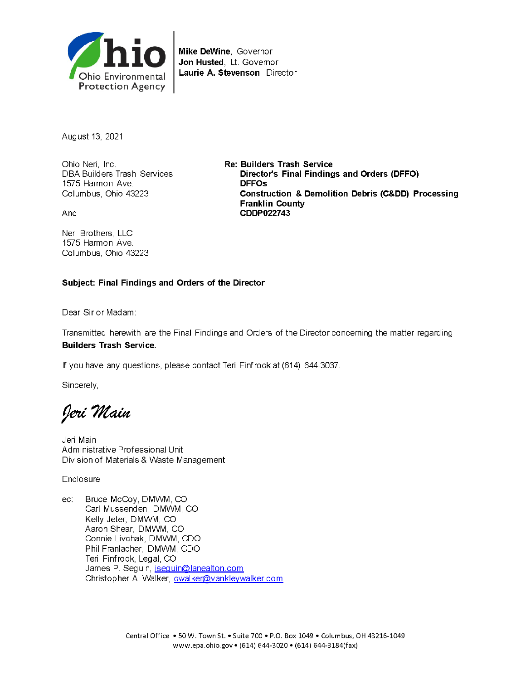

Mike DeWine, Governor Jon Husted, Lt. Governor Laurie A. Stevenson, Director

August 13, 2021

Ohio Neri, Inc. DBA Builders Trash Services 1575 Harmon Ave. Columbus, Ohio 43223

And

Neri Brothers. LLC 1575 Harmon Ave. Columbus, Ohio 43223 **Re: Builders Trash Service** Director's Final Findings and Orders (DFFO) **DFFOs Construction & Demolition Debris (C&DD) Processing Franklin County** CDDP022743

#### Subject: Final Findings and Orders of the Director

Dear Sir or Madam:

Transmitted herewith are the Final Findings and Orders of the Director concerning the matter regarding **Builders Trash Service.** 

If you have any questions, please contact Teri Finfrock at (614) 644-3037.

Sincerely,

Jeri Main

Jeri Main Administrative Professional Unit Division of Materials & Waste Management

Enclosure

ec: Bruce McCoy, DMWM, CO Carl Mussenden, DMWM, CO Kelly Jeter, DMWM, CO Aaron Shear, DMWM, CO Connie Livchak, DMWM, CDO Phil Franlacher, DMWM, CDO Teri Finfrock, Legal, CO James P. Seguin, jseguin@lanealton.com Christopher A. Walker, cwalker@vankleywalker.com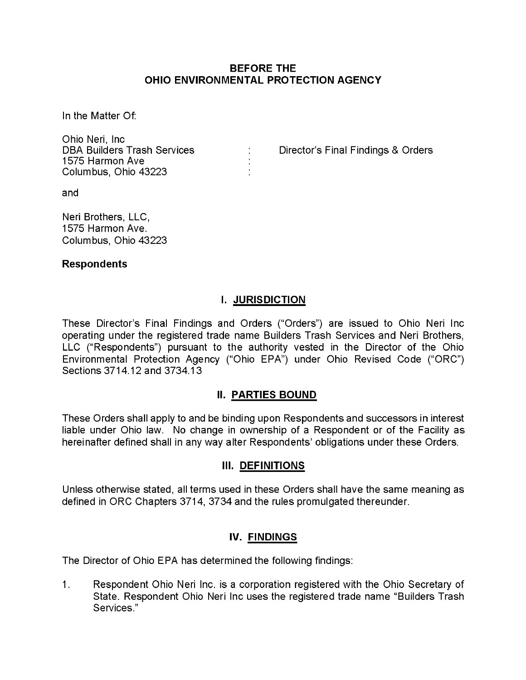#### BEFORE THE OHIO ENVIRONMENTAL PROTECTION AGENCY

In the Matter Of:

Ohio Neri, Inc 1575 Harmon Ave Columbus, Ohio 43223

: Director's Final Findings & Orders

and

Neri Brothers, LLC, 1575 Harmon Ave. Columbus, Ohio 43223

#### Respondents

# I. JURISDICTION

These Director's Final Findings and Orders ("Orders") are issued to Ohio Neri Inc operating under the registered trade name Builders Trash Services and Neri Brothers, LLC ("Respondents") pursuant to the authority vested in the Director of the Ohio Environmental Protection Agency ("Ohio EPA") under Ohio Revised Code ("ORC") Sections 3714.12 and 3734.13

#### II. PARTIES BOUND

These Orders shall apply to and be binding upon Respondents and successors in interest liable under Ohio law. No change in ownership of a Respondent or of the Facility as hereinafter defined shall in any way alter Respondents' obligations under these Orders.

#### III. DEFINITIONS

Unless otherwise stated, all terms used in these Orders shall have the same meaning as defined in ORC Chapters 3714, 3734 and the rules promulgated thereunder.

#### IV. FINDINGS

The Director of Ohio EPA has determined the following findings:

1. Respondent Ohio Neri Inc. is a corporation registered with the Ohio Secretary of State. Respondent Ohio Neri Inc uses the registered trade name "Builders Trash Services."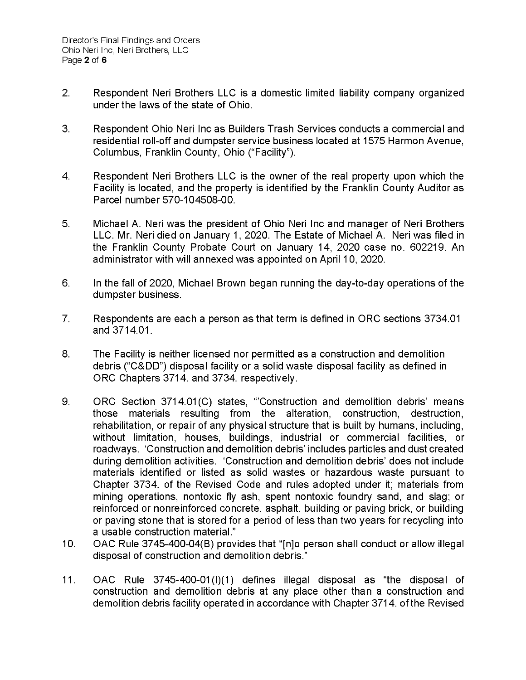- 2. Respondent Neri Brothers LLC is a domestic limited liability company organized under the laws of the state of Ohio.
- 3. Respondent Ohio Neri Inc as Builders Trash Services conducts a commercial and residential roll-off and dumpster service business located at 1575 Harmon Avenue, Columbus, Franklin County, Ohio ("Facility").
- 4. Respondent Neri Brothers LLC is the owner of the real property upon which the Facility is located, and the property is identified by the Franklin County Auditor as Parcel number 570-104508-00.
- 5. Michael A. Neri was the president of Ohio Neri Inc and manager of Neri Brothers LLC. Mr. Neri died on January 1, 2020. The Estate of Michael A. Neri was filed in the Franklin County Probate Court on January 14, 2020 case no. 602219. An administrator with will annexed was appointed on April 10, 2020.
- 6. In the fall of 2020, Michael Brown began running the day-to-day operations of the dumpster business.
- 7. Respondents are each a person as that term is defined in ORC sections 3734.01 and 3714.01.
- 8. The Facility is neither licensed nor permitted as a construction and demolition debris ("C&DD") disposal facility or a solid waste disposal facility as defined in ORC Chapters 3714. and 3734. respectively.
- 9. ORC Section 3714.01(C) states, "Construction and demolition debris' means those materials resulting from the alteration, construction, destruction, rehabilitation, or repair of any physical structure that is built by humans, including, without limitation, houses, buildings, industrial or commercial facilities, or roadways. 'Construction and demolition debris' includes particles and dust created during demolition activities. 'Construction and demolition debris' does not include materials identified or listed as solid wastes or hazardous waste pursuant to Chapter 3734. of the Revised Code and rules adopted under it; materials from mining operations, nontoxic fly ash, spent nontoxic foundry sand, and slag; or reinforced or nonreinforced concrete, asphalt, building or paving brick, or building or paving stone that is stored for a period of less than two years for recycling into a usable construction material."
- 10. OAC Rule 3745-400-04(B) provides that "[n]o person shall conduct or allow illegal disposal of construction and demolition debris."
- 11. OAC Rule 3745-400-01(l)(1) defines illegal disposal as "the disposal of construction and demolition debris at any place other than a construction and demolition debris facility operated in accordance with Chapter 3714. ofthe Revised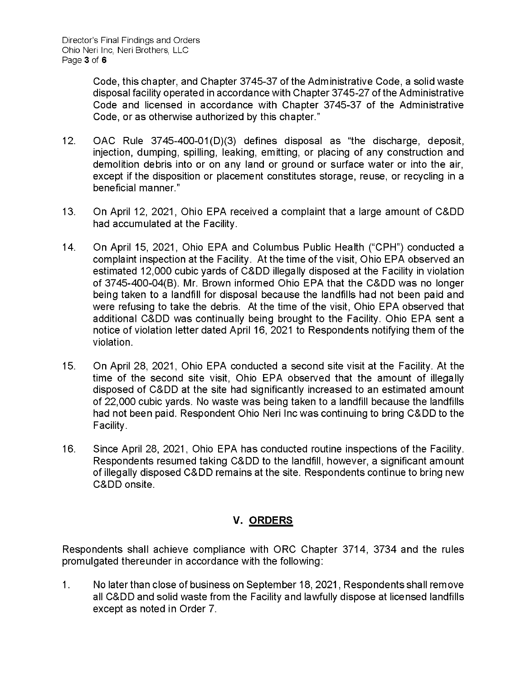Code, this chapter, and Chapter 3745-37 of the Administrative Code, a solid waste disposal facility operated in accordance with Chapter 3745-27 of the Administrative Code and licensed in accordance with Chapter 3745-37 of the Administrative Code, or as otherwise authorized by this chapter."

- 12. OAC Rule 3745-400-01(D)(3) defines disposal as "the discharge, deposit, injection, dumping, spilling, leaking, emitting, or placing of any construction and demolition debris into or on any land or ground or surface water or into the air, except if the disposition or placement constitutes storage, reuse, or recycling in a beneficial manner."
- 13. On April 12, 2021, Ohio EPA received a complaint that a large amount of C&DD had accumulated at the Facility.
- 14. On April 15, 2021, Ohio EPA and Columbus Public Health ("CPH") conducted a complaint inspection at the Facility. At the time of the visit, Ohio EPA observed an estimated 12,000 cubic yards of C&DD illegally disposed at the Facility in violation of 3745-400-04(B). Mr. Brown informed Ohio EPA that the C&DD was no longer being taken to a landfill for disposal because the landfills had not been paid and were refusing to take the debris. At the time of the visit, Ohio EPA observed that additional C&DD was continually being brought to the Facility. Ohio EPA sent a notice of violation letter dated April 16, 2021 to Respondents notifying them of the violation.
- 15. On April 28, 2021, Ohio EPA conducted a second site visit at the Facility. At the time of the second site visit, Ohio EPA observed that the amount of illegally disposed of C&DD at the site had significantly increased to an estimated amount of 22,000 cubic yards. No waste was being taken to a landfill because the landfills had not been paid. Respondent Ohio Neri Inc was continuing to bring C&DD to the Facility.
- 16. Since April 28, 2021, Ohio EPA has conducted routine inspections of the Facility. Respondents resumed taking C&DD to the landfill, however, a significant amount of illegally disposed C&DD remains at the site. Respondents continue to bring new C&DD onsite.

# **V. ORDERS**

Respondents shall achieve compliance with ORC Chapter 3714, 3734 and the rules promulgated thereunder in accordance with the following:

1. No laterthan close of business on September 18, 2021, Respondents shall remove all C&DD and solid waste from the Facility and lawfully dispose at licensed landfills except as noted in Order 7.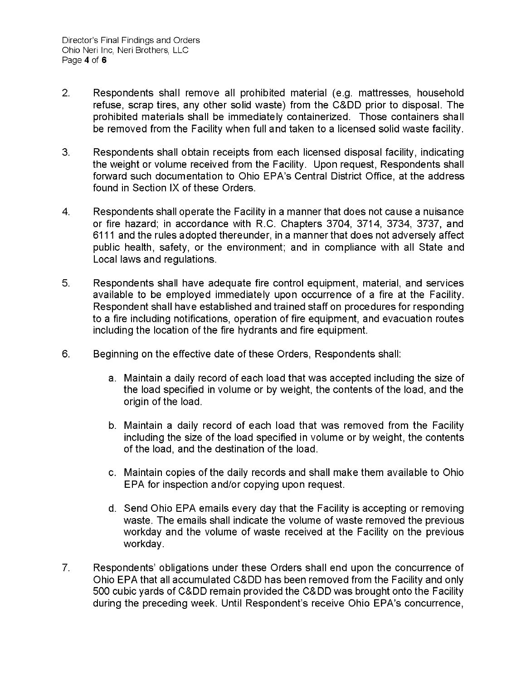- 2. Respondents shall remove all prohibited material (e.g. mattresses, household refuse, scrap tires, any other solid waste) from the C&DD prior to disposal. The prohibited materials shall be immediately containerized. Those containers shall be removed from the Facility when full and taken to a licensed solid waste facility.
- 3. Respondents shall obtain receipts from each licensed disposal facility, indicating the weight or volume received from the Facility. Upon request, Respondents shall forward such documentation to Ohio EPA's Central District Office, at the address found in Section IX of these Orders.
- 4. Respondents shall operate the Facility in a manner that does not cause a nuisance or fire hazard; in accordance with R.C. Chapters 3704, 3714, 3734, 3737, and 6111 and the rules adopted thereunder, in a manner that does not adversely affect public health, safety, or the environment; and in compliance with all State and Local laws and regulations.
- 5. Respondents shall have adequate fire control equipment, material, and services available to be employed immediately upon occurrence of a fire at the Facility. Respondent shall have established and trained staff on procedures for responding to a fire including notifications, operation of fire equipment, and evacuation routes including the location of the fire hydrants and fire equipment.
- 6. Beginning on the effective date of these Orders, Respondents shall:
	- a. Maintain a daily record of each load that was accepted including the size of the load specified in volume or by weight, the contents of the load, and the origin of the load.
	- b. Maintain a daily record of each load that was removed from the Facility including the size of the load specified in volume or by weight, the contents of the load, and the destination of the load.
	- c. Maintain copies of the daily records and shall make them available to Ohio EPA for inspection and/or copying upon request.
	- d. Send Ohio EPA emails every day that the Facility is accepting or removing waste. The emails shall indicate the volume of waste removed the previous workday and the volume of waste received at the Facility on the previous workday.
- 7. Respondents' obligations under these Orders shall end upon the concurrence of Ohio EPA that all accumulated C&DD has been removed from the Facility and only 500 cubic yards of C&DD remain provided the C&DD was brought onto the Facility during the preceding week. Until Respondent's receive Ohio EPA's concurrence,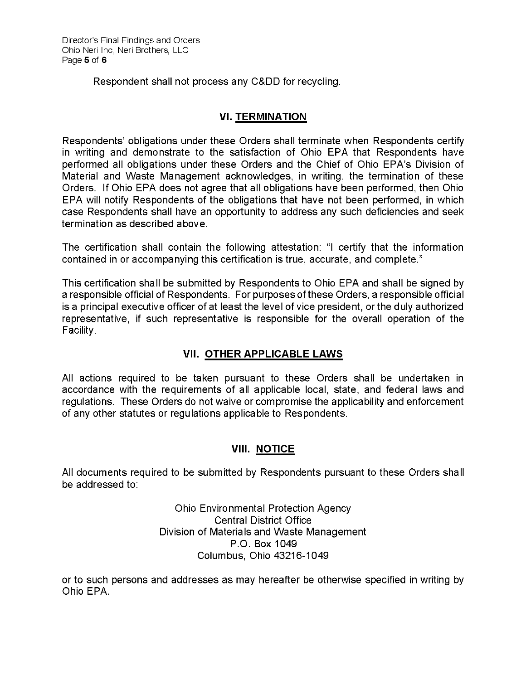Respondent shall not process any C&DD for recycling.

# **VI. TERMINATION**

Respondents' obligations under these Orders shall terminate when Respondents certify in writing and demonstrate to the satisfaction of Ohio EPA that Respondents have performed all obligations under these Orders and the Chief of Ohio EPA's Division of Material and Waste Management acknowledges, in writing, the termination of these Orders. If Ohio EPA does not agree that all obligations have been performed, then Ohio EPA will notify Respondents of the obligations that have not been performed, in which case Respondents shall have an opportunity to address any such deficiencies and seek termination as described above.

The certification shall contain the following attestation: "I certify that the information contained in or accompanying this certification is true, accurate, and complete."

This certification shall be submitted by Respondents to Ohio EPA and shall be signed by a responsible official of Respondents. For purposes of these Orders, a responsible official is a principal executive officer of at least the level of vice president, or the duly authorized representative, if such representative is responsible for the overall operation of the Facility.

# **VII. OTHER APPLICABLE LAWS**

All actions required to be taken pursuant to these Orders shall be undertaken in accordance with the requirements of all applicable local, state, and federal laws and regulations. These Orders do not waive or compromise the applicability and enforcement of any other statutes or regulations applicable to Respondents.

# **VIII. NOTICE**

All documents required to be submitted by Respondents pursuant to these Orders shall be addressed to:

> Ohio Environmental Protection Agency Central District Office Division of Materials and Waste Management P.O. Box 1049 Columbus, Ohio 43216-1049

or to such persons and addresses as may hereafter be otherwise specified in writing by Ohio EPA.